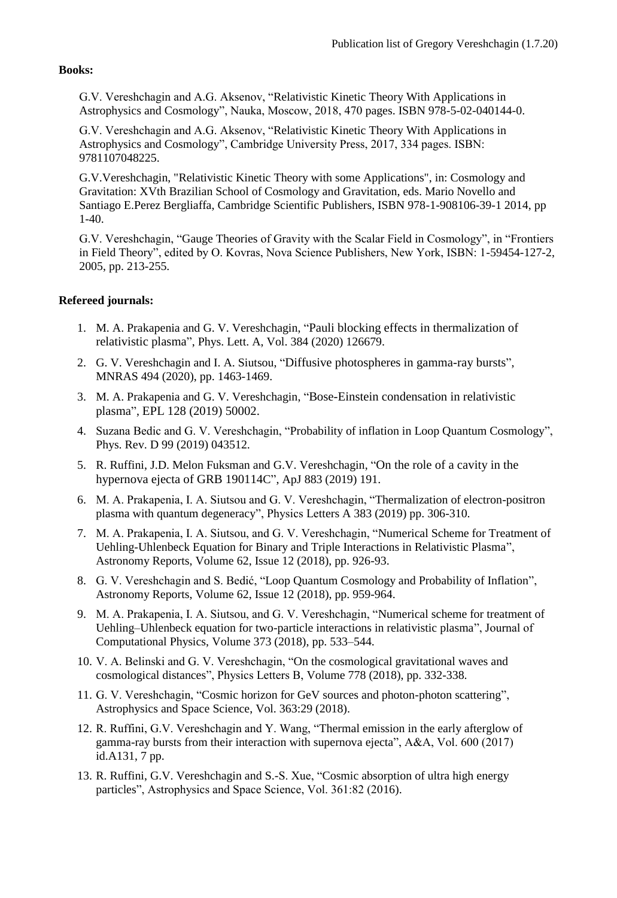## **Books:**

G.V. Vereshchagin and A.G. Aksenov, ["Relativistic Kinetic Theory With Applications in](https://naukabooks.ru/knigi/katalog/relyativistskaya_kineticheskaya_teoriya_s_prilozheniyami_v_astrofizike_i_kosmologii-_2018/)  [Astrophysics and Cosmology"](https://naukabooks.ru/knigi/katalog/relyativistskaya_kineticheskaya_teoriya_s_prilozheniyami_v_astrofizike_i_kosmologii-_2018/), Nauka, Moscow, 2018, 470 pages. ISBN 978-5-02-040144-0.

G.V. Vereshchagin and A.G. Aksenov, ["Relativistic Kinetic Theory With](https://doi.org/10.1017/9781107261365) Applications in [Astrophysics and Cosmology"](https://doi.org/10.1017/9781107261365), Cambridge University Press, 2017, 334 pages. ISBN: 9781107048225.

G.V.Vereshchagin, "Relativistic Kinetic Theory with some Applications", in: Cosmology and Gravitation: XVth Brazilian School of Cosmology and Gravitation, eds. Mario Novello and Santiago E.Perez Bergliaffa, Cambridge Scientific Publishers, ISBN 978-1-908106-39-1 2014, pp 1-40.

G.V. Vereshchagin, "Gauge Theories [of Gravity with the Scalar Field in Cosmology", in "Frontiers](https://www.novapublishers.com/catalog/product_info.php?products_id=252)  [in Field Theory"](https://www.novapublishers.com/catalog/product_info.php?products_id=252), edited by O. Kovras, Nova Science Publishers, New York, ISBN: 1-59454-127-2, 2005, pp. 213-255.

## **Refereed journals:**

- 1. M. A. Prakapenia and G. V. Vereshchagin, "[Pauli blocking effects in thermalization of](https://doi.org/10.1016/j.physleta.2020.126679)  [relativistic plasma](https://doi.org/10.1016/j.physleta.2020.126679)", Phys. Lett. A, Vol. 384 (2020) 126679.
- 2. G. V. Vereshchagin and I. A. Siutsou, "[Diffusive photospheres in gamma-ray bursts](https://doi.org/10.1093/mnras/staa868)", MNRAS 494 (2020), pp. 1463-1469.
- 3. M. A. Prakapenia and G. V. Vereshchagin, "[Bose-Einstein condensation in relativistic](https://doi.org/10.1209/0295-5075/128/50002)  [plasma](https://doi.org/10.1209/0295-5075/128/50002)", EPL 128 (2019) 50002.
- 4. Suzana Bedic and G. V. Vereshchagin, ["Probability of inflation in Loop Quantum Cosmology"](https://doi.org/10.1103/PhysRevD.99.043512), Phys. Rev. D 99 (2019) 043512.
- 5. R. Ruffini, J.D. Melon Fuksman and G.V. Vereshchagin, "[On the role of a cavity in the](https://doi.org/10.3847/1538-4357/ab3c51)  [hypernova ejecta of GRB 190114](https://doi.org/10.3847/1538-4357/ab3c51)C", ApJ 883 (2019) 191.
- 6. M. A. Prakapenia, I. A. Siutsou and G. V. Vereshchagin, ["Thermalization of electron-positron](https://doi.org/10.1016/j.physleta.2018.10.013)  [plasma with quantum degeneracy"](https://doi.org/10.1016/j.physleta.2018.10.013), Physics Letters A 383 (2019) pp. 306-310.
- 7. M. A. Prakapenia, I. A. Siutsou, and G. V. Vereshchagin, ["Numerical Scheme for Treatment of](https://doi.org/10.1134/S1063772918120284)  [Uehling-Uhlenbeck Equation for Binary and Triple Interactions in Relativistic Plasma"](https://doi.org/10.1134/S1063772918120284), Astronomy Reports, Volume 62, Issue 12 (2018), pp. 926-93.
- 8. G. V. Vereshchagin and S. Bedić, ["Loop Quantum Cosmology and Probability of Inflation"](https://doi.org/10.1134/S1063772918120326), Astronomy Reports, Volume 62, Issue 12 (2018), pp. 959-964.
- 9. M. A. Prakapenia, I. A. Siutsou, and G. V. Vereshchagin, ["Numerical scheme for treatment of](https://doi.org/10.1016/j.jcp.2018.07.010)  [Uehling–Uhlenbeck equation for two-particle interactions in relativistic plasma"](https://doi.org/10.1016/j.jcp.2018.07.010), Journal of Computational Physics, Volume 373 (2018), pp. 533–544.
- 10. V. A. Belinski and G. V. Vereshchagin, ["On the cosmological gravitational waves and](https://doi.org/10.1016/j.physletb.2018.01.051)  [cosmological distances"](https://doi.org/10.1016/j.physletb.2018.01.051), Physics Letters B, Volume 778 (2018), pp. 332-338.
- 11. G. V. Vereshchagin, ["Cosmic horizon for GeV sources and photon-photon scattering"](https://doi.org/10.1007/s10509-018-3247-8), Astrophysics and Space Science, Vol. 363:29 (2018).
- 12. R. Ruffini, G.V. Vereshchagin and Y. Wang, ["Thermal emission in the early afterglow of](http://dx.doi.org/10.1051/0004-6361/201527553)  [gamma-ray bursts from their interaction with supernova ejecta"](http://dx.doi.org/10.1051/0004-6361/201527553), A&A, Vol. 600 (2017) id.A131, 7 pp.
- 13. R. Ruffini, G.V. Vereshchagin and S.-S. Xue, ["Cosmic absorption of ultra high energy](http://dx.doi.org/10.1007/s10509-016-2668-5)  [particles"](http://dx.doi.org/10.1007/s10509-016-2668-5), Astrophysics and Space Science, Vol. 361:82 (2016).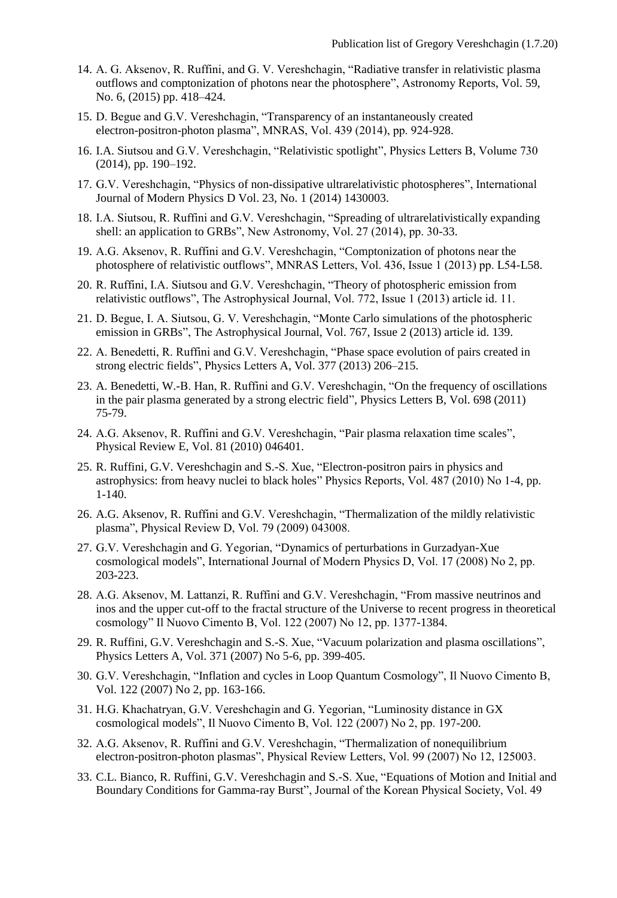- 14. A. G. Aksenov, R. Ruffini, and G. V. Vereshchagin, ["Radiative transfer in relativistic plasma](http://link.springer.com/article/10.1134/S1063772915060013)  [outflows and comptonization of photons near the photosphere"](http://link.springer.com/article/10.1134/S1063772915060013), Astronomy Reports, Vol. 59, No. 6, (2015) pp. 418–424.
- 15. D. Begue and G.V. Vereshchagin, ["Transparency of an instantaneously created](http://dx.doi.org/10.1093/mnras/stu011)  [electron-positron-photon plasma"](http://dx.doi.org/10.1093/mnras/stu011), MNRAS, Vol. 439 (2014), pp. 924-928.
- 16. I.A. Siutsou and G.V. Vereshchagin, ["Relativistic spotlight"](http://dx.doi.org/10.1016/j.physletb.2014.01.048), Physics Letters B, Volume 730 (2014), pp. 190–192.
- 17. G.V. Vereshchagin, ["Physics of non-dissipative ultrarelativistic photospheres"](http://dx.doi.org/10.1142/S0218271814300031), International Journal of Modern Physics D Vol. 23, No. 1 (2014) 1430003.
- 18. I.A. Siutsou, R. Ruffini and G.V. Vereshchagin, ["Spreading of ultrarelativistically expanding](http://dx.doi.org/10.1016/j.newast.2013.08.007)  [shell: an application to GRBs"](http://dx.doi.org/10.1016/j.newast.2013.08.007), New Astronomy, Vol. 27 (2014), pp. 30-33.
- 19. A.G. Aksenov, R. Ruffini and G.V. Vereshchagin, ["Comptonization of photons near the](http://dx.doi.org/10.1093/mnrasl/slt112)  [photosphere of relativistic outflows"](http://dx.doi.org/10.1093/mnrasl/slt112), MNRAS Letters, Vol. 436, Issue 1 (2013) pp. L54-L58.
- 20. R. Ruffini, I.A. Siutsou and G.V. Vereshchagin, ["Theory of photospheric emission from](http://dx.doi.org/10.1088/0004-637X/772/1/11)  [relativistic outflows"](http://dx.doi.org/10.1088/0004-637X/772/1/11), The Astrophysical Journal, Vol. 772, Issue 1 (2013) article id. 11.
- 21. D. Begue, I. A. Siutsou, G. V. Vereshchagin, ["Monte Carlo simulations of the photospheric](http://dx.doi.org/10.1088/0004-637X/767/2/139)  [emission in GRBs"](http://dx.doi.org/10.1088/0004-637X/767/2/139), The Astrophysical Journal, Vol. 767, Issue 2 (2013) article id. 139.
- 22. A. Benedetti, R. Ruffini and G.V. Vereshchagin, ["Phase space evolution of pairs created in](http://dx.doi.org/10.1016/j.physleta.2012.11.026)  [strong electric fields"](http://dx.doi.org/10.1016/j.physleta.2012.11.026), Physics Letters A, Vol. 377 (2013) 206–215.
- 23. A. Benedetti, W.-B. Han, R. Ruffini and G.V. Vereshchagin, ["On the frequency of oscillations](http://dx.doi.org/10.1016/j.physletb.2011.02.050)  [in the pair plasma generated by a strong electric field"](http://dx.doi.org/10.1016/j.physletb.2011.02.050), Physics Letters B, Vol. 698 (2011) 75-79.
- 24. A.G. Aksenov, R. Ruffini and G.V. Vereshchagin, ["Pair plasma relaxation time scales"](http://dx.doi.org/10.1103/PhysRevE.81.046401), Physical Review E, Vol. 81 (2010) 046401.
- 25. R. Ruffini, G.V. Vereshchagin and S.-S. Xue, ["Electron-positron pairs in physics and](http://dx.doi.org/10.1016/j.physrep.2009.10.004)  [astrophysics: from heavy nuclei to black holes"](http://dx.doi.org/10.1016/j.physrep.2009.10.004) Physics Reports, Vol. 487 (2010) No 1-4, pp. 1-140.
- 26. A.G. Aksenov, R. Ruffini and G.V. Vereshchagin, ["Thermalization of the mildly relativistic](http://dx.doi.org/10.1103/PhysRevD.79.043008)  [plasma"](http://dx.doi.org/10.1103/PhysRevD.79.043008), Physical Review D, Vol. 79 (2009) 043008.
- 27. G.V. Vereshchagin and G. Yegorian, ["Dynamics of perturbations in Gurzadyan-Xue](http://dx.doi.org/10.1142/S021827180801195X)  [cosmological models"](http://dx.doi.org/10.1142/S021827180801195X), International Journal of Modern Physics D, Vol. 17 (2008) No 2, pp. 203-223.
- 28. A.G. Aksenov, M. Lattanzi, R. Ruffini and G.V. Vereshchagin, ["From massive neutrinos and](http://dx.doi.org/10.1393/ncb/i2008-10476-y)  [inos and the upper cut-off to the fractal structure of the Universe to recent progress in theoretical](http://dx.doi.org/10.1393/ncb/i2008-10476-y)  [cosmology"](http://dx.doi.org/10.1393/ncb/i2008-10476-y) Il Nuovo Cimento B, Vol. 122 (2007) No 12, pp. 1377-1384.
- 29. R. Ruffini, G.V. Vereshchagin and S.-S. Xue, ["Vacuum polarization and plasma oscillations"](http://dx.doi.org/10.1016/j.physleta.2007.06.056), Physics Letters A, Vol. 371 (2007) No 5-6, pp. 399-405.
- 30. G.V. Vereshchagin, ["Inflation and cycles in Loop Quantum Cosmology"](http://dx.doi.org/10.1393/ncb/i2007-10349-y), Il Nuovo Cimento B, Vol. 122 (2007) No 2, pp. 163-166.
- 31. H.G. Khachatryan, G.V. Vereshchagin and G. Yegorian, ["Luminosity distance in GX](http://dx.doi.org/10.1393/ncb/i2007-10361-3)  [cosmological models"](http://dx.doi.org/10.1393/ncb/i2007-10361-3), Il Nuovo Cimento B, Vol. 122 (2007) No 2, pp. 197-200.
- 32. A.G. Aksenov, R. Ruffini and G.V. Vereshchagin, ["Thermalization of nonequilibrium](http://dx.doi.org/10.1103/PhysRevLett.99.125003)  [electron-positron-photon plasmas"](http://dx.doi.org/10.1103/PhysRevLett.99.125003), Physical Review Letters, Vol. 99 (2007) No 12, 125003.
- 33. C.L. Bianco, R. Ruffini, G.V. Vereshchagin and S.-S. Xue, ["Equations of Motion and Initial and](http://icpr.snu.ac.kr/resource/jkps_view.php?j_cd=J01&article_cd=J012006049S020722)  [Boundary Conditions for Gamma-ray Burst"](http://icpr.snu.ac.kr/resource/jkps_view.php?j_cd=J01&article_cd=J012006049S020722), Journal of the Korean Physical Society, Vol. 49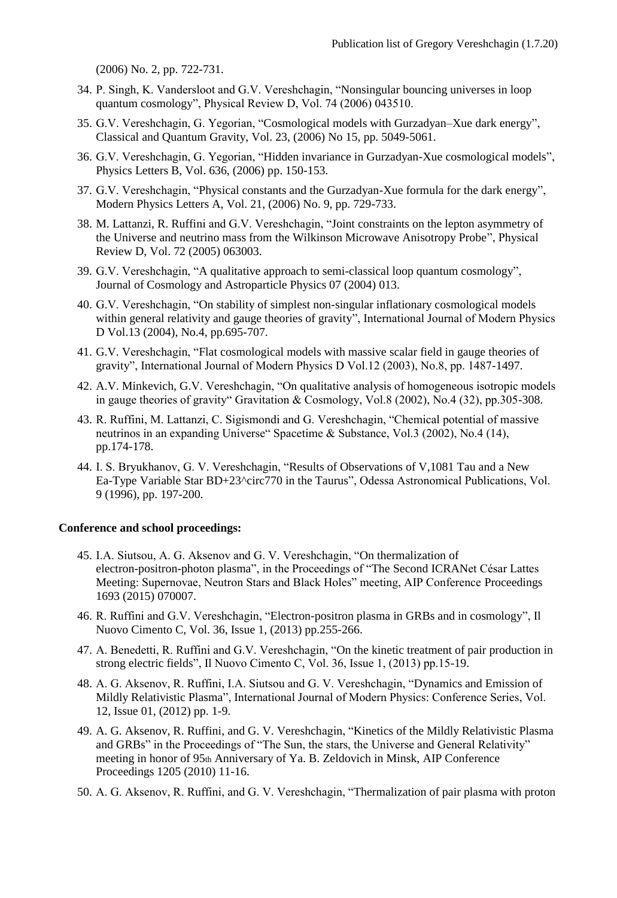(2006) No. 2, pp. 722-731.

- 34. P. Singh, K. Vandersloot and G.V. Vereshchagin, "Nonsingular [bouncing universes in loop](http://dx.doi.org/10.1103/PhysRevD.74.043510)  [quantum cosmology"](http://dx.doi.org/10.1103/PhysRevD.74.043510), Physical Review D, Vol. 74 (2006) 043510.
- 35. G.V. Vereshchagin, G. Yegorian, ["Cosmological models with Gurzadyan–Xue dark energy"](http://dx.doi.org/10.1088/0264-9381/23/15/020), Classical and Quantum Gravity, Vol. 23, (2006) No 15, pp. 5049-5061.
- 36. G.V. Vereshchagin, G. Yegorian, ["Hidden invariance in Gurzadyan-Xue cosmological models"](http://dx.doi.org/10.1016/j.physletb.2006.03.050), Physics Letters B, Vol. 636, (2006) pp. 150-153.
- 37. G.V. Vereshchagin, ["Physical constants and the Gurzadyan-Xue formula for the dark energy"](http://dx.doi.org/10.1142/S0217732306020081), Modern Physics Letters A, Vol. 21, (2006) No. 9, pp. 729-733.
- 38. M. Lattanzi, R. Ruffini and G.V. Vereshchagin, ["Joint constraints on the lepton asymmetry of](http://dx.doi.org/10.1103/PhysRevD.72.063003)  [the Universe and neutrino mass from the Wilkinson Microwave Anisotropy Probe"](http://dx.doi.org/10.1103/PhysRevD.72.063003), Physical Review D, Vol. 72 (2005) 063003.
- 39. G.V. Vereshchagin, ["A qualitative approach to semi-classical loop quantum cosmology"](http://dx.doi.org/10.1088/1475-7516/2004/07/013), Journal of Cosmology and Astroparticle Physics 07 (2004) 013.
- 40. G.V. Vereshchagin, ["On stability of simplest non-singular inflationary cosmological models](http://dx.doi.org/10.1142/S0218271804004864)  [within general relativity and gauge theories of gravity"](http://dx.doi.org/10.1142/S0218271804004864), International Journal of Modern Physics D Vol.13 (2004), No.4, pp.695-707.
- 41. G.V. Vereshchagin, ["Flat cosmological models with massive scalar field in gauge theories of](http://dx.doi.org/10.1142/S0218271803003827)  [gravity"](http://dx.doi.org/10.1142/S0218271803003827), International Journal of Modern Physics D Vol.12 (2003), No.8, pp. 1487-1497.
- 42. A.V. Minkevich, G.V. Vereshchagin, "On qualitative analysis of homogeneous isotropic models in gauge theories of gravity" Gravitation & Cosmology, Vol.8 (2002), No.4 (32), pp.305-308.
- 43. R. Ruffini, M. Lattanzi, C. Sigismondi and G. Vereshchagin, "Chemical potential of massive neutrinos in an expanding Universe" Spacetime & Substance, Vol.3 (2002), No.4 (14), pp.174-178.
- 44. I. S. Bryukhanov, G. V. Vereshchagin, ["Results of Observations of V,1081 Tau and a New](http://oap14.pochta.ru/oap9.htm)  [Ea-Type Variable Star BD+23^circ770 in the Taurus"](http://oap14.pochta.ru/oap9.htm), Odessa Astronomical Publications, Vol. 9 (1996), pp. 197-200.

## **Conference and school proceedings:**

- 45. I.A. Siutsou, A. G. Aksenov and G. V. Vereshchagin, ["On thermalization of](https://doi.org/10.1063/1.4937220)  [electron-positron-photon plasma"](https://doi.org/10.1063/1.4937220), in the Proceedings of "The Second ICRANet César Lattes Meeting: Supernovae, Neutron Stars and Black Holes" meeting, AIP Conference Proceedings 1693 (2015) 070007.
- 46. R. Ruffini and G.V. Vereshchagin, ["Electron-positron plasma in GRBs and in cosmology"](http://dx.doi.org/10.1393/ncc/i2013-11500-0), Il Nuovo Cimento C, Vol. 36, Issue 1, (2013) pp.255-266.
- 47. A. Benedetti, R. Ruffini and G.V. Vereshchagin, ["On the kinetic treatment of pair production in](http://dx.doi.org/10.1393/ncc/i2013-11481-x)  [strong electric fields"](http://dx.doi.org/10.1393/ncc/i2013-11481-x), Il Nuovo Cimento C, Vol. 36, Issue 1, (2013) pp.15-19.
- 48. A. G. Aksenov, R. Ruffini, I.A. Siutsou and G. V. Vereshchagin, ["Dynamics and Emission of](http://dx.doi.org/10.1142/S2010194512006204)  [Mildly Relativistic Plasma"](http://dx.doi.org/10.1142/S2010194512006204), International Journal of Modern Physics: Conference Series, Vol. 12, Issue 01, (2012) pp. 1-9.
- 49. A. G. Aksenov, R. Ruffini, and G. V. Vereshchagin, ["Kinetics of the Mildly Relativistic Plasma](http://dx.doi.org/10.1063/1.3382316)  [and GRBs"](http://dx.doi.org/10.1063/1.3382316) in the Proceedings of "The Sun, the stars, the Universe and General Relativity" meeting in honor of 95th Anniversary of Ya. B. Zeldovich in Minsk, AIP Conference Proceedings 1205 (2010) 11-16.
- 50. A. G. Aksenov, R. Ruffini, and G. V. Vereshchagin, ["Thermalization of pair plasma with proton](http://dx.doi.org/10.1063/1.3141571)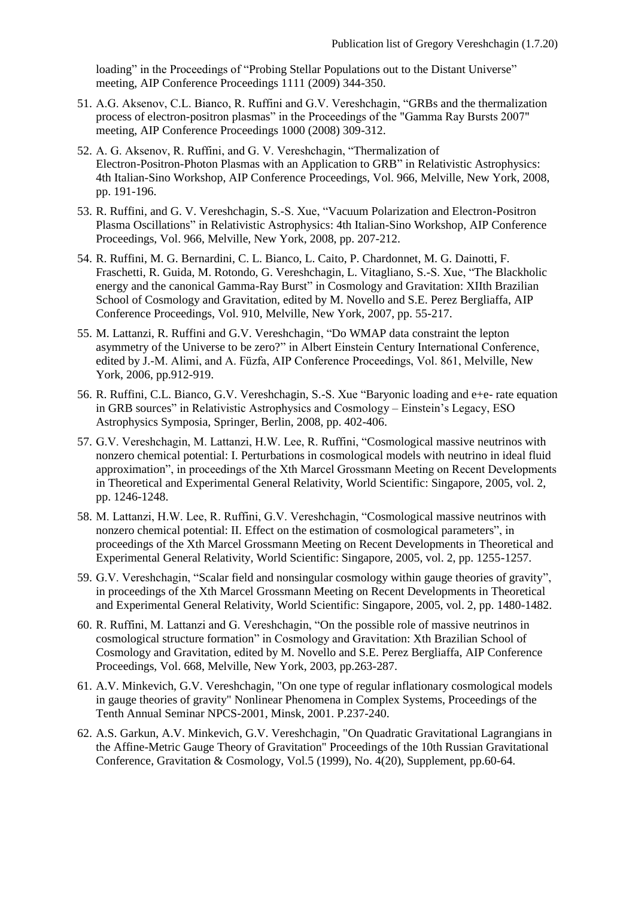loading" in the Proceedings of "Probing Stellar Populations out to the Distant Universe" meeting, AIP Conference Proceedings 1111 (2009) 344-350.

- 51. A.G. Aksenov, C.L. Bianco, R. Ruffini and G.V. Vereshchagin, ["GRBs and the thermalization](http://dx.doi.org/10.1063/1.2943471)  [process of electron-positron plasmas"](http://dx.doi.org/10.1063/1.2943471) in the Proceedings of the "Gamma Ray Bursts 2007" meeting, AIP Conference Proceedings 1000 (2008) 309-312.
- 52. A. G. Aksenov, R. Ruffini, and G. V. Vereshchagin, ["Thermalization of](http://dx.doi.org/10.1063/1.2836994)  [Electron-Positron-Photon Plasmas with an Application to GRB"](http://dx.doi.org/10.1063/1.2836994) in Relativistic Astrophysics: 4th Italian-Sino Workshop, AIP Conference Proceedings, Vol. 966, Melville, New York, 2008, pp. 191-196.
- 53. R. Ruffini, and G. V. Vereshchagin, S.-S. Xue, ["Vacuum Polarization and Electron-Positron](http://dx.doi.org/10.1063/1.2836996)  [Plasma Oscillations"](http://dx.doi.org/10.1063/1.2836996) in Relativistic Astrophysics: 4th Italian-Sino Workshop, AIP Conference Proceedings, Vol. 966, Melville, New York, 2008, pp. 207-212.
- 54. R. Ruffini, M. G. Bernardini, C. L. Bianco, L. Caito, P. Chardonnet, M. G. Dainotti, F. Fraschetti, R. Guida, M. Rotondo, G. Vereshchagin, L. Vitagliano, S.-S. Xue, ["The Blackholic](http://dx.doi.org/10.1063/1.2752480)  [energy and the canonical Gamma-Ray Burst"](http://dx.doi.org/10.1063/1.2752480) in Cosmology and Gravitation: XIIth Brazilian School of Cosmology and Gravitation, edited by M. Novello and S.E. Perez Bergliaffa, AIP Conference Proceedings, Vol. 910, Melville, New York, 2007, pp. 55-217.
- 55. M. Lattanzi, R. Ruffini and G.V. Vereshchagin, ["Do WMAP data constraint the lepton](http://dx.doi.org/10.1063/1.2399677)  [asymmetry of the Universe to be zero?"](http://dx.doi.org/10.1063/1.2399677) in Albert Einstein Century International Conference, edited by J.-M. Alimi, and A. Füzfa, AIP Conference Proceedings, Vol. 861, Melville, New York, 2006, pp.912-919.
- 56. R. Ruffini, C.L. Bianco, G.V. Vereshchagin, S.-S. Xue ["Baryonic loading and e+e-](http://dx.doi.org/10.1007/978-3-540-74713-0_92) rate equation [in GRB sources"](http://dx.doi.org/10.1007/978-3-540-74713-0_92) in Relativistic Astrophysics and Cosmology – Einstein's Legacy, ESO Astrophysics Symposia, Springer, Berlin, 2008, pp. 402-406.
- 57. G.V. Vereshchagin, M. Lattanzi, H.W. Lee, R. Ruffini, ["Cosmological massive neutrinos with](http://dx.doi.org/10.1142/9789812704030_0081)  nonzero chemical [potential: I. Perturbations in cosmological models with neutrino in ideal fluid](http://dx.doi.org/10.1142/9789812704030_0081)  [approximation"](http://dx.doi.org/10.1142/9789812704030_0081), in proceedings of the Xth Marcel Grossmann Meeting on Recent Developments in Theoretical and Experimental General Relativity, World Scientific: Singapore, 2005, vol. 2, pp. 1246-1248.
- 58. M. Lattanzi, H.W. Lee, R. Ruffini, G.V. Vereshchagin, ["Cosmological massive neutrinos with](http://dx.doi.org/10.1142/9789812704030_0084)  [nonzero chemical potential: II. Effect on the estimation of cosmological parameters"](http://dx.doi.org/10.1142/9789812704030_0084), in proceedings of the Xth Marcel Grossmann Meeting on Recent Developments in Theoretical and Experimental General Relativity, World Scientific: Singapore, 2005, vol. 2, pp. 1255-1257.
- 59. G.V. Vereshchagin, ["Scalar field and nonsingular cosmology within gauge theories of gravity"](http://eproceedings.worldscinet.com/9812566678/98125697900090.html), in proceedings of the Xth Marcel Grossmann Meeting on Recent Developments in Theoretical and Experimental General Relativity, World Scientific: Singapore, 2005, vol. 2, pp. 1480-1482.
- 60. R. Ruffini, M. Lattanzi and G. Vereshchagin, ["On the possible role of massive neutrinos in](http://dx.doi.org/10.1063/1.1587102)  [cosmological structure formation"](http://dx.doi.org/10.1063/1.1587102) in Cosmology and Gravitation: Xth Brazilian School of Cosmology and Gravitation, edited by M. Novello and S.E. Perez Bergliaffa, AIP Conference Proceedings, Vol. 668, Melville, New York, 2003, pp.263-287.
- 61. A.V. Minkevich, G.V. Vereshchagin, "On one type of regular inflationary cosmological models in gauge theories of gravity" Nonlinear Phenomena in Complex Systems, Proceedings of the Tenth Annual Seminar NPCS-2001, Minsk, 2001. P.237-240.
- 62. A.S. Garkun, A.V. Minkevich, G.V. Vereshchagin, "On Quadratic Gravitational Lagrangians in the Affine-Metric Gauge Theory of Gravitation" Proceedings of the 10th Russian Gravitational Conference, Gravitation & Cosmology, Vol.5 (1999), No. 4(20), Supplement, pp.60-64.